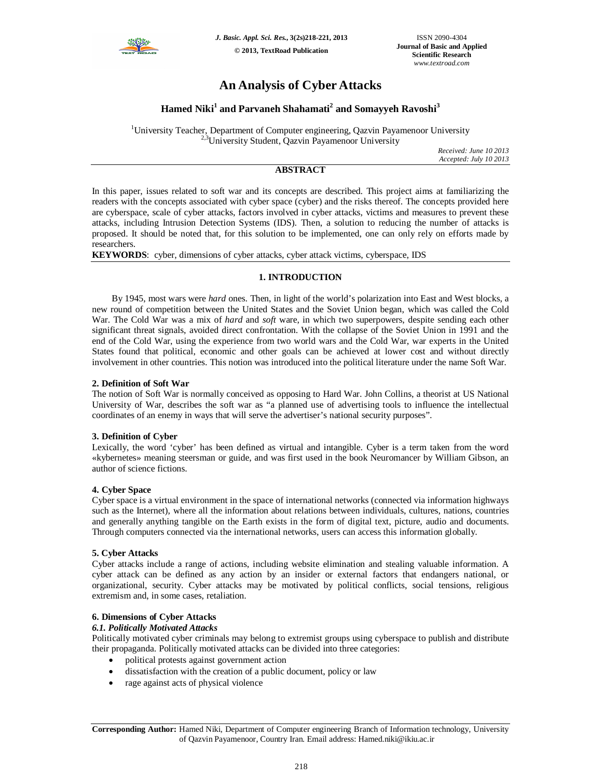

# **An Analysis of Cyber Attacks**

# **Hamed Niki<sup>1</sup> and Parvaneh Shahamati<sup>2</sup> and Somayyeh Ravoshi<sup>3</sup>**

<sup>1</sup>University Teacher, Department of Computer engineering, Qazvin Payamenoor University <sup>2,3</sup>University Student, Qazvin Payamenoor University

*Received: June 10 2013 Accepted: July 10 2013*

# **ABSTRACT**

In this paper, issues related to soft war and its concepts are described. This project aims at familiarizing the readers with the concepts associated with cyber space (cyber) and the risks thereof. The concepts provided here are cyberspace, scale of cyber attacks, factors involved in cyber attacks, victims and measures to prevent these attacks, including Intrusion Detection Systems (IDS). Then, a solution to reducing the number of attacks is proposed. It should be noted that, for this solution to be implemented, one can only rely on efforts made by researchers.

**KEYWORDS**: cyber, dimensions of cyber attacks, cyber attack victims, cyberspace, IDS

# **1. INTRODUCTION**

By 1945, most wars were *hard* ones. Then, in light of the world's polarization into East and West blocks, a new round of competition between the United States and the Soviet Union began, which was called the Cold War. The Cold War was a mix of *hard* and *soft* ware, in which two superpowers, despite sending each other significant threat signals, avoided direct confrontation. With the collapse of the Soviet Union in 1991 and the end of the Cold War, using the experience from two world wars and the Cold War, war experts in the United States found that political, economic and other goals can be achieved at lower cost and without directly involvement in other countries. This notion was introduced into the political literature under the name Soft War.

# **2. Definition of Soft War**

The notion of Soft War is normally conceived as opposing to Hard War. John Collins, a theorist at US National University of War, describes the soft war as "a planned use of advertising tools to influence the intellectual coordinates of an enemy in ways that will serve the advertiser's national security purposes".

### **3. Definition of Cyber**

Lexically, the word 'cyber' has been defined as virtual and intangible. Cyber is a term taken from the word «kybernetes» meaning steersman or guide, and was first used in the book Neuromancer by William Gibson, an author of science fictions.

### **4. Cyber Space**

Cyber space is a virtual environment in the space of international networks (connected via information highways such as the Internet), where all the information about relations between individuals, cultures, nations, countries and generally anything tangible on the Earth exists in the form of digital text, picture, audio and documents. Through computers connected via the international networks, users can access this information globally.

### **5. Cyber Attacks**

Cyber attacks include a range of actions, including website elimination and stealing valuable information. A cyber attack can be defined as any action by an insider or external factors that endangers national, or organizational, security. Cyber attacks may be motivated by political conflicts, social tensions, religious extremism and, in some cases, retaliation.

# **6. Dimensions of Cyber Attacks**

### *6.1. Politically Motivated Attacks*

Politically motivated cyber criminals may belong to extremist groups using cyberspace to publish and distribute their propaganda. Politically motivated attacks can be divided into three categories:

- political protests against government action
- dissatisfaction with the creation of a public document, policy or law
- rage against acts of physical violence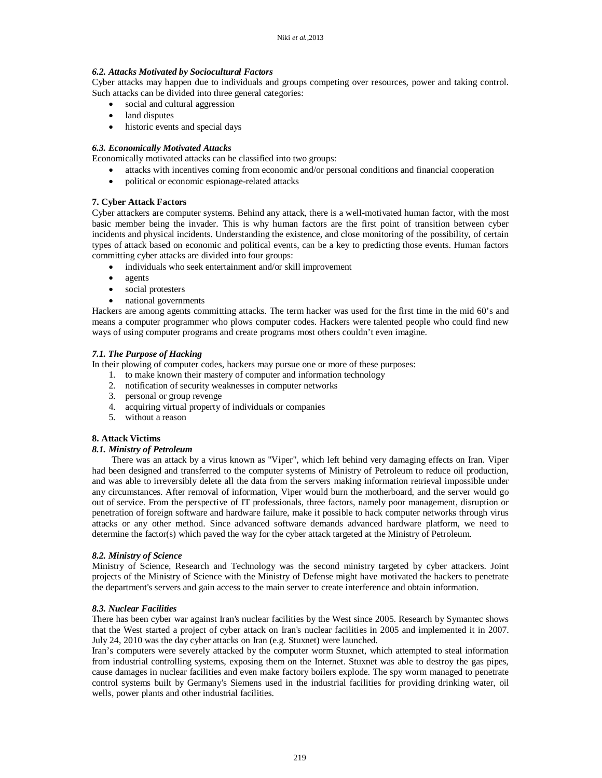## *6.2. Attacks Motivated by Sociocultural Factors*

Cyber attacks may happen due to individuals and groups competing over resources, power and taking control. Such attacks can be divided into three general categories:

- social and cultural aggression
- land disputes
- historic events and special days

## *6.3. Economically Motivated Attacks*

Economically motivated attacks can be classified into two groups:

- attacks with incentives coming from economic and/or personal conditions and financial cooperation
- political or economic espionage-related attacks

# **7. Cyber Attack Factors**

Cyber attackers are computer systems. Behind any attack, there is a well-motivated human factor, with the most basic member being the invader. This is why human factors are the first point of transition between cyber incidents and physical incidents. Understanding the existence, and close monitoring of the possibility, of certain types of attack based on economic and political events, can be a key to predicting those events. Human factors committing cyber attacks are divided into four groups:

- individuals who seek entertainment and/or skill improvement
- agents
- social protesters
- national governments

Hackers are among agents committing attacks. The term hacker was used for the first time in the mid 60's and means a computer programmer who plows computer codes. Hackers were talented people who could find new ways of using computer programs and create programs most others couldn't even imagine.

# *7.1. The Purpose of Hacking*

In their plowing of computer codes, hackers may pursue one or more of these purposes:

- 1. to make known their mastery of computer and information technology
- 2. notification of security weaknesses in computer networks
- 3. personal or group revenge
- 4. acquiring virtual property of individuals or companies
- 5. without a reason

### **8. Attack Victims**

### *8.1. Ministry of Petroleum*

There was an attack by a virus known as "Viper", which left behind very damaging effects on Iran. Viper had been designed and transferred to the computer systems of Ministry of Petroleum to reduce oil production, and was able to irreversibly delete all the data from the servers making information retrieval impossible under any circumstances. After removal of information, Viper would burn the motherboard, and the server would go out of service. From the perspective of IT professionals, three factors, namely poor management, disruption or penetration of foreign software and hardware failure, make it possible to hack computer networks through virus attacks or any other method. Since advanced software demands advanced hardware platform, we need to determine the factor(s) which paved the way for the cyber attack targeted at the Ministry of Petroleum.

### *8.2. Ministry of Science*

Ministry of Science, Research and Technology was the second ministry targeted by cyber attackers. Joint projects of the Ministry of Science with the Ministry of Defense might have motivated the hackers to penetrate the department's servers and gain access to the main server to create interference and obtain information.

### *8.3. Nuclear Facilities*

There has been cyber war against Iran's nuclear facilities by the West since 2005. Research by Symantec shows that the West started a project of cyber attack on Iran's nuclear facilities in 2005 and implemented it in 2007. July 24, 2010 was the day cyber attacks on Iran (e.g. Stuxnet) were launched.

Iran's computers were severely attacked by the computer worm Stuxnet, which attempted to steal information from industrial controlling systems, exposing them on the Internet. Stuxnet was able to destroy the gas pipes, cause damages in nuclear facilities and even make factory boilers explode. The spy worm managed to penetrate control systems built by Germany's Siemens used in the industrial facilities for providing drinking water, oil wells, power plants and other industrial facilities.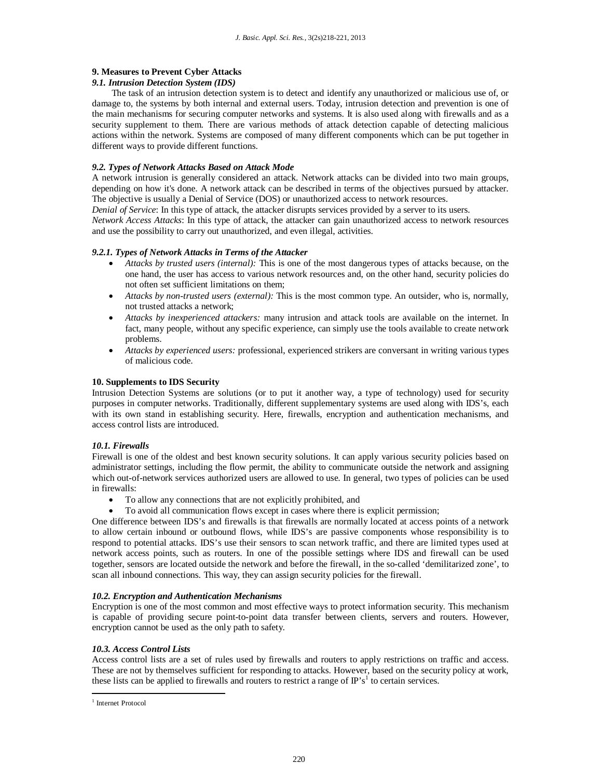# **9. Measures to Prevent Cyber Attacks**

#### *9.1. Intrusion Detection System (IDS)*

The task of an intrusion detection system is to detect and identify any unauthorized or malicious use of, or damage to, the systems by both internal and external users. Today, intrusion detection and prevention is one of the main mechanisms for securing computer networks and systems. It is also used along with firewalls and as a security supplement to them. There are various methods of attack detection capable of detecting malicious actions within the network. Systems are composed of many different components which can be put together in different ways to provide different functions.

#### *9.2. Types of Network Attacks Based on Attack Mode*

A network intrusion is generally considered an attack. Network attacks can be divided into two main groups, depending on how it's done. A network attack can be described in terms of the objectives pursued by attacker. The objective is usually a Denial of Service (DOS) or unauthorized access to network resources.

*Denial of Service*: In this type of attack, the attacker disrupts services provided by a server to its users.

*Network Access Attacks*: In this type of attack, the attacker can gain unauthorized access to network resources and use the possibility to carry out unauthorized, and even illegal, activities.

#### *9.2.1. Types of Network Attacks in Terms of the Attacker*

- *Attacks by trusted users (internal):* This is one of the most dangerous types of attacks because, on the one hand, the user has access to various network resources and, on the other hand, security policies do not often set sufficient limitations on them;
- *Attacks by non-trusted users (external):* This is the most common type. An outsider, who is, normally, not trusted attacks a network;
- *Attacks by inexperienced attackers:* many intrusion and attack tools are available on the internet. In fact, many people, without any specific experience, can simply use the tools available to create network problems.
- *Attacks by experienced users:* professional, experienced strikers are conversant in writing various types of malicious code.

#### **10. Supplements to IDS Security**

Intrusion Detection Systems are solutions (or to put it another way, a type of technology) used for security purposes in computer networks. Traditionally, different supplementary systems are used along with IDS's, each with its own stand in establishing security. Here, firewalls, encryption and authentication mechanisms, and access control lists are introduced.

### *10.1. Firewalls*

Firewall is one of the oldest and best known security solutions. It can apply various security policies based on administrator settings, including the flow permit, the ability to communicate outside the network and assigning which out-of-network services authorized users are allowed to use. In general, two types of policies can be used in firewalls:

- To allow any connections that are not explicitly prohibited, and
- To avoid all communication flows except in cases where there is explicit permission;

One difference between IDS's and firewalls is that firewalls are normally located at access points of a network to allow certain inbound or outbound flows, while IDS's are passive components whose responsibility is to respond to potential attacks. IDS's use their sensors to scan network traffic, and there are limited types used at network access points, such as routers. In one of the possible settings where IDS and firewall can be used together, sensors are located outside the network and before the firewall, in the so-called 'demilitarized zone', to scan all inbound connections. This way, they can assign security policies for the firewall.

#### *10.2. Encryption and Authentication Mechanisms*

Encryption is one of the most common and most effective ways to protect information security. This mechanism is capable of providing secure point-to-point data transfer between clients, servers and routers. However, encryption cannot be used as the only path to safety.

### *10.3. Access Control Lists*

Access control lists are a set of rules used by firewalls and routers to apply restrictions on traffic and access. These are not by themselves sufficient for responding to attacks. However, based on the security policy at work, these lists can be applied to firewalls and routers to restrict a range of  $\mathbb{P}^s s^1$  to certain services.

1

<sup>&</sup>lt;sup>1</sup> Internet Protocol